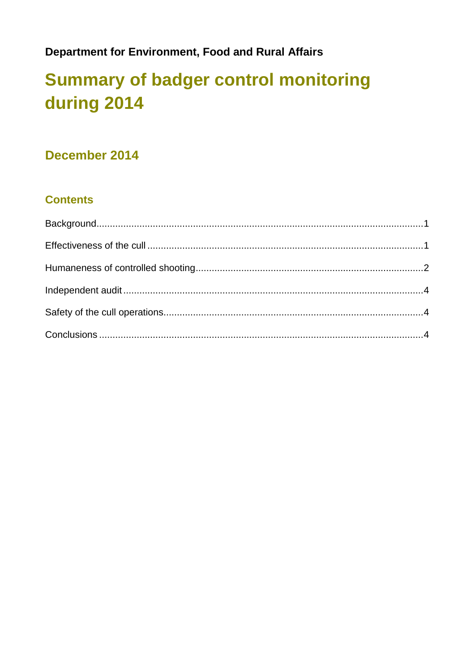### **Department for Environment, Food and Rural Affairs**

# **Summary of badger control monitoring** during 2014

### December 2014

### **Contents**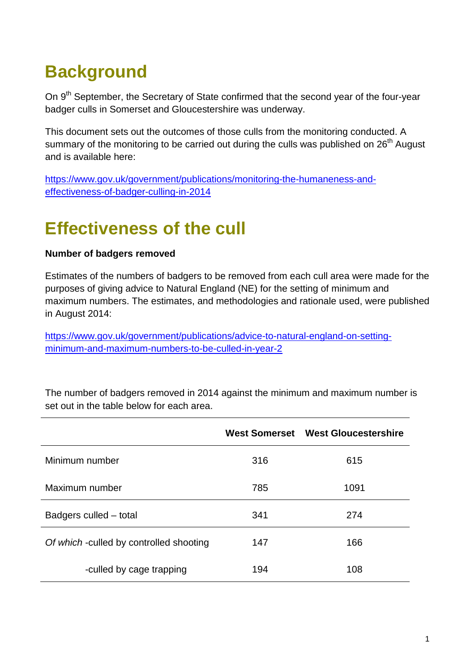# <span id="page-1-0"></span>**Background**

On 9<sup>th</sup> September, the Secretary of State confirmed that the second year of the four-year badger culls in Somerset and Gloucestershire was underway.

This document sets out the outcomes of those culls from the monitoring conducted. A summary of the monitoring to be carried out during the culls was published on 26<sup>th</sup> August and is available here:

[https://www.gov.uk/government/publications/monitoring-the-humaneness-and](https://www.gov.uk/government/publications/monitoring-the-humaneness-and-effectiveness-of-badger-culling-in-2014)[effectiveness-of-badger-culling-in-2014](https://www.gov.uk/government/publications/monitoring-the-humaneness-and-effectiveness-of-badger-culling-in-2014)

## <span id="page-1-1"></span>**Effectiveness of the cull**

#### **Number of badgers removed**

Estimates of the numbers of badgers to be removed from each cull area were made for the purposes of giving advice to Natural England (NE) for the setting of minimum and maximum numbers. The estimates, and methodologies and rationale used, were published in August 2014:

[https://www.gov.uk/government/publications/advice-to-natural-england-on-setting](https://www.gov.uk/government/publications/advice-to-natural-england-on-setting-minimum-and-maximum-numbers-to-be-culled-in-year-2)[minimum-and-maximum-numbers-to-be-culled-in-year-2](https://www.gov.uk/government/publications/advice-to-natural-england-on-setting-minimum-and-maximum-numbers-to-be-culled-in-year-2)

|                                         |     | West Somerset West Gloucestershire |
|-----------------------------------------|-----|------------------------------------|
| Minimum number                          | 316 | 615                                |
| Maximum number                          | 785 | 1091                               |
| Badgers culled – total                  | 341 | 274                                |
| Of which -culled by controlled shooting | 147 | 166                                |
| -culled by cage trapping                | 194 | 108                                |

The number of badgers removed in 2014 against the minimum and maximum number is set out in the table below for each area.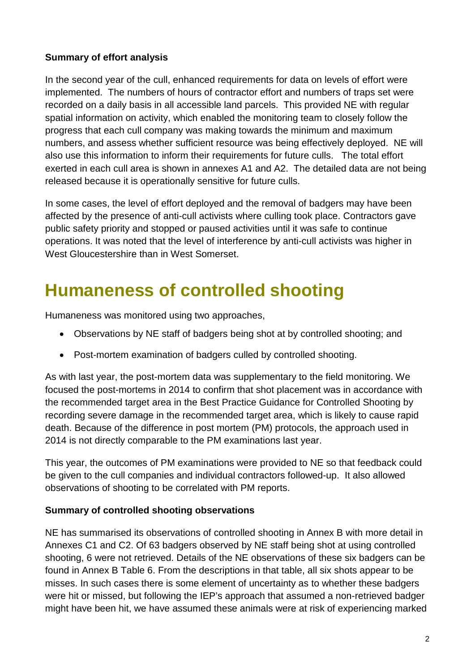#### **Summary of effort analysis**

In the second year of the cull, enhanced requirements for data on levels of effort were implemented. The numbers of hours of contractor effort and numbers of traps set were recorded on a daily basis in all accessible land parcels. This provided NE with regular spatial information on activity, which enabled the monitoring team to closely follow the progress that each cull company was making towards the minimum and maximum numbers, and assess whether sufficient resource was being effectively deployed. NE will also use this information to inform their requirements for future culls. The total effort exerted in each cull area is shown in annexes A1 and A2. The detailed data are not being released because it is operationally sensitive for future culls.

In some cases, the level of effort deployed and the removal of badgers may have been affected by the presence of anti-cull activists where culling took place. Contractors gave public safety priority and stopped or paused activities until it was safe to continue operations. It was noted that the level of interference by anti-cull activists was higher in West Gloucestershire than in West Somerset.

## <span id="page-2-0"></span>**Humaneness of controlled shooting**

Humaneness was monitored using two approaches,

- Observations by NE staff of badgers being shot at by controlled shooting; and
- Post-mortem examination of badgers culled by controlled shooting.

As with last year, the post-mortem data was supplementary to the field monitoring. We focused the post-mortems in 2014 to confirm that shot placement was in accordance with the recommended target area in the Best Practice Guidance for Controlled Shooting by recording severe damage in the recommended target area, which is likely to cause rapid death. Because of the difference in post mortem (PM) protocols, the approach used in 2014 is not directly comparable to the PM examinations last year.

This year, the outcomes of PM examinations were provided to NE so that feedback could be given to the cull companies and individual contractors followed-up. It also allowed observations of shooting to be correlated with PM reports.

#### **Summary of controlled shooting observations**

NE has summarised its observations of controlled shooting in Annex B with more detail in Annexes C1 and C2. Of 63 badgers observed by NE staff being shot at using controlled shooting, 6 were not retrieved. Details of the NE observations of these six badgers can be found in Annex B Table 6. From the descriptions in that table, all six shots appear to be misses. In such cases there is some element of uncertainty as to whether these badgers were hit or missed, but following the IEP's approach that assumed a non-retrieved badger might have been hit, we have assumed these animals were at risk of experiencing marked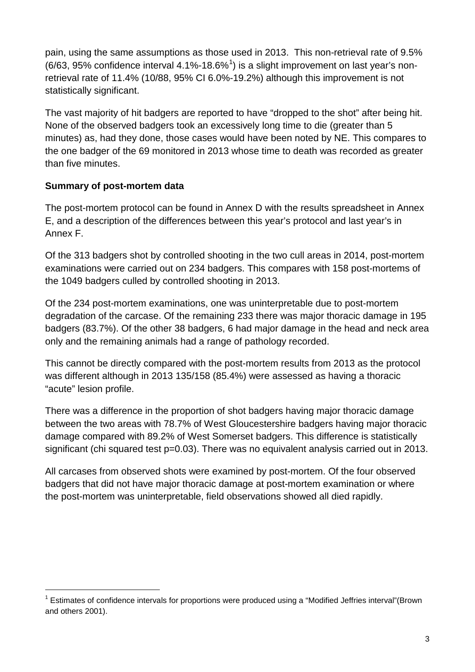pain, using the same assumptions as those used in 2013. This non-retrieval rate of 9.5%  $(6/63, 95\%$  confidence interval 4.[1](#page-3-1)%-18.6%<sup>1</sup>) is a slight improvement on last year's nonretrieval rate of 11.4% (10/88, 95% CI 6.0%-19.2%) although this improvement is not statistically significant.

The vast majority of hit badgers are reported to have "dropped to the shot" after being hit. None of the observed badgers took an excessively long time to die (greater than 5 minutes) as, had they done, those cases would have been noted by NE. This compares to the one badger of the 69 monitored in 2013 whose time to death was recorded as greater than five minutes.

### **Summary of post-mortem data**

The post-mortem protocol can be found in Annex D with the results spreadsheet in Annex E, and a description of the differences between this year's protocol and last year's in Annex F.

Of the 313 badgers shot by controlled shooting in the two cull areas in 2014, post-mortem examinations were carried out on 234 badgers. This compares with 158 post-mortems of the 1049 badgers culled by controlled shooting in 2013.

Of the 234 post-mortem examinations, one was uninterpretable due to post-mortem degradation of the carcase. Of the remaining 233 there was major thoracic damage in 195 badgers (83.7%). Of the other 38 badgers, 6 had major damage in the head and neck area only and the remaining animals had a range of pathology recorded.

This cannot be directly compared with the post-mortem results from 2013 as the protocol was different although in 2013 135/158 (85.4%) were assessed as having a thoracic "acute" lesion profile.

There was a difference in the proportion of shot badgers having major thoracic damage between the two areas with 78.7% of West Gloucestershire badgers having major thoracic damage compared with 89.2% of West Somerset badgers. This difference is statistically significant (chi squared test p=0.03). There was no equivalent analysis carried out in 2013.

<span id="page-3-0"></span>All carcases from observed shots were examined by post-mortem. Of the four observed badgers that did not have major thoracic damage at post-mortem examination or where the post-mortem was uninterpretable, field observations showed all died rapidly.

<span id="page-3-1"></span> <sup>1</sup> Estimates of confidence intervals for proportions were produced using a "Modified Jeffries interval"(Brown and others 2001).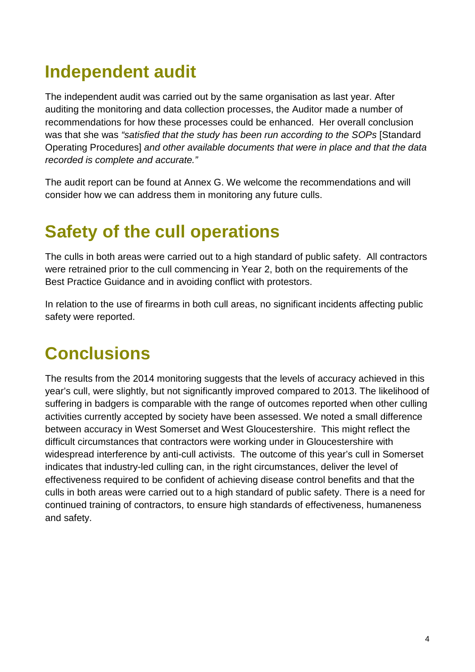# **Independent audit**

The independent audit was carried out by the same organisation as last year. After auditing the monitoring and data collection processes, the Auditor made a number of recommendations for how these processes could be enhanced. Her overall conclusion was that she was *"satisfied that the study has been run according to the SOPs* [Standard Operating Procedures] *and other available documents that were in place and that the data recorded is complete and accurate."*

The audit report can be found at Annex G. We welcome the recommendations and will consider how we can address them in monitoring any future culls.

## <span id="page-4-0"></span>**Safety of the cull operations**

The culls in both areas were carried out to a high standard of public safety. All contractors were retrained prior to the cull commencing in Year 2, both on the requirements of the Best Practice Guidance and in avoiding conflict with protestors.

In relation to the use of firearms in both cull areas, no significant incidents affecting public safety were reported.

# <span id="page-4-1"></span>**Conclusions**

The results from the 2014 monitoring suggests that the levels of accuracy achieved in this year's cull, were slightly, but not significantly improved compared to 2013. The likelihood of suffering in badgers is comparable with the range of outcomes reported when other culling activities currently accepted by society have been assessed. We noted a small difference between accuracy in West Somerset and West Gloucestershire. This might reflect the difficult circumstances that contractors were working under in Gloucestershire with widespread interference by anti-cull activists. The outcome of this year's cull in Somerset indicates that industry-led culling can, in the right circumstances, deliver the level of effectiveness required to be confident of achieving disease control benefits and that the culls in both areas were carried out to a high standard of public safety. There is a need for continued training of contractors, to ensure high standards of effectiveness, humaneness and safety.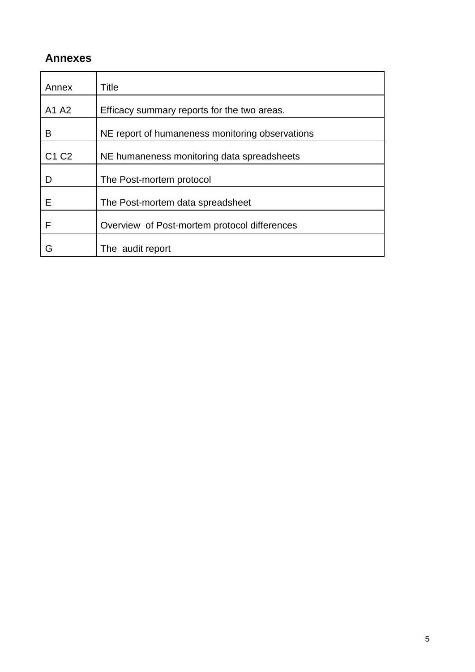### **Annexes**

| Annex                         | Title                                           |
|-------------------------------|-------------------------------------------------|
| A1 A2                         | Efficacy summary reports for the two areas.     |
| B                             | NE report of humaneness monitoring observations |
| C <sub>1</sub> C <sub>2</sub> | NE humaneness monitoring data spreadsheets      |
|                               | The Post-mortem protocol                        |
| F                             | The Post-mortem data spreadsheet                |
| F                             | Overview of Post-mortem protocol differences    |
|                               | The audit report                                |